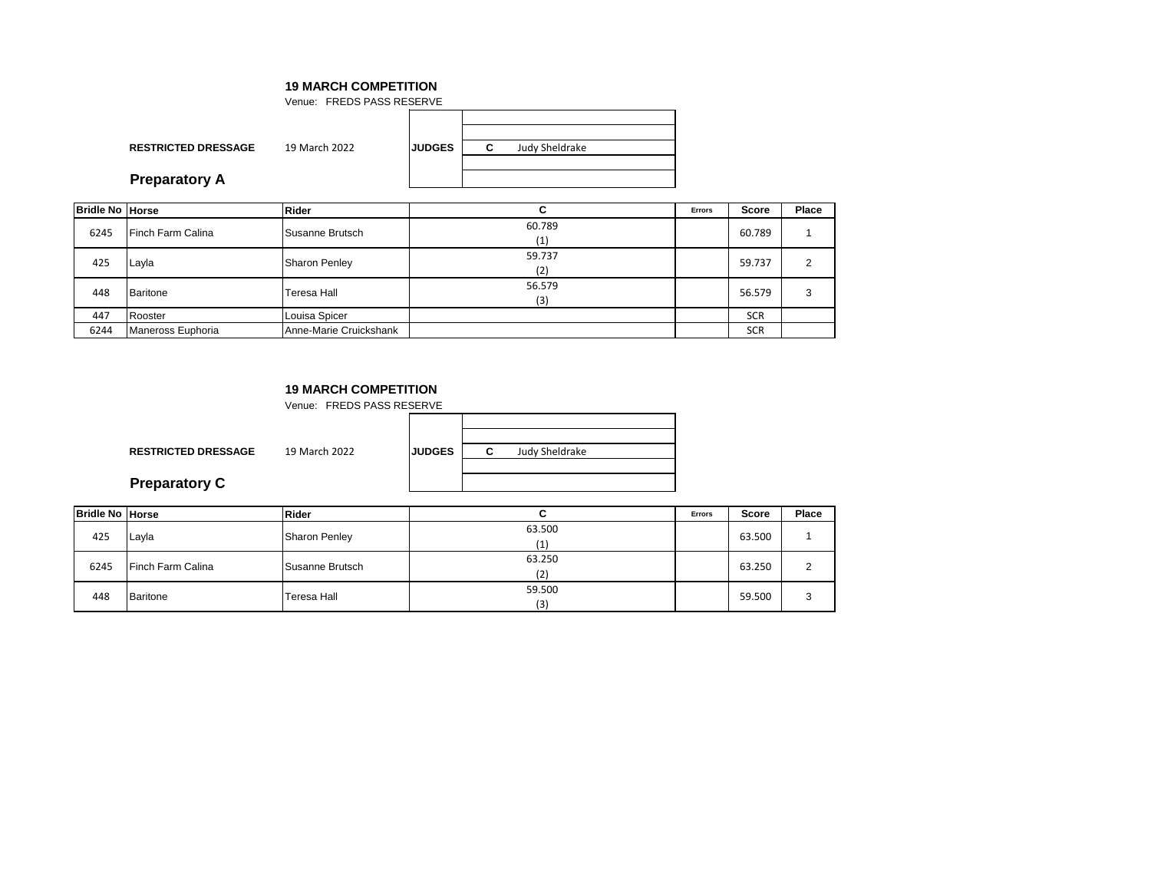**RESTRICTED DRESSAGE** 19 March 2022 **JUDGES C** Venue: FREDS PASS RESERVE Judy Sheldrake **Preparatory A**

|  |  | <b>Preparatory A</b> |  |
|--|--|----------------------|--|
|--|--|----------------------|--|

| <b>Bridle No Horse</b> |                   | <b>Rider</b>           | C.            | Errors | Score      | Place |
|------------------------|-------------------|------------------------|---------------|--------|------------|-------|
| 6245                   | Finch Farm Calina | Susanne Brutsch        | 60.789<br>(1) |        | 60.789     |       |
| 425                    | Layla             | <b>Sharon Penley</b>   | 59.737<br>(2) |        | 59.737     | 2     |
| 448                    | <b>Baritone</b>   | Teresa Hall            | 56.579<br>(3) |        | 56.579     | 3     |
| 447                    | Rooster           | Louisa Spicer          |               |        | <b>SCR</b> |       |
| 6244                   | Maneross Euphoria | Anne-Marie Cruickshank |               |        | <b>SCR</b> |       |

## **19 MARCH COMPETITION**

Venue: FREDS PASS RESERVE

**RESTRICTED DRESSAGE** 19 March 2022 **JU** 

| <b>JDGES</b> | c | Judy Sheldrake |  |
|--------------|---|----------------|--|
|              |   |                |  |
|              |   |                |  |
|              |   |                |  |

**Preparatory C**

| <b>Bridle No Horse</b> |                   | <b>Rider</b>         |               | <b>Errors</b> | Score  | Place  |
|------------------------|-------------------|----------------------|---------------|---------------|--------|--------|
| 425                    | Layla             | <b>Sharon Penley</b> | 63.500<br>(1) |               | 63.500 |        |
| 6245                   | Finch Farm Calina | Susanne Brutsch      | 63.250<br>(2) |               | 63.250 | $\sim$ |
| 448                    | Baritone          | Teresa Hall          | 59.500<br>(3) |               | 59.500 | 3      |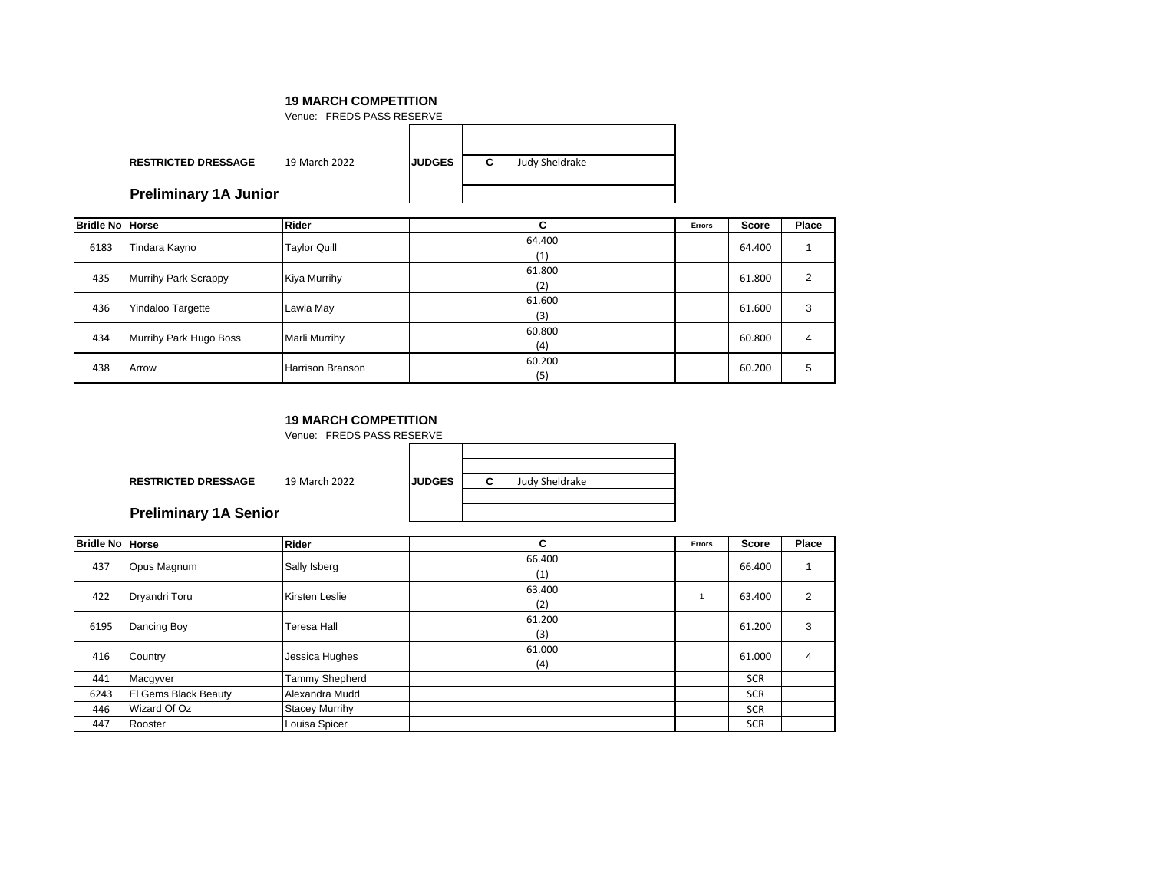|                              | Venue: FREDS PASS RESERVE |               |   |                |
|------------------------------|---------------------------|---------------|---|----------------|
|                              |                           |               |   |                |
| <b>RESTRICTED DRESSAGE</b>   | 19 March 2022             | <b>JUDGES</b> | C | Judy Sheldrake |
| <b>Preliminary 1A Junior</b> |                           |               |   |                |

| <b>Bridle No Horse</b> |                             | <b>Rider</b>        | С             | <b>Errors</b> | <b>Score</b> | Place |
|------------------------|-----------------------------|---------------------|---------------|---------------|--------------|-------|
| 6183                   | Tindara Kayno               | <b>Taylor Quill</b> | 64.400<br>(1) |               | 64.400       |       |
| 435                    | <b>Murrihy Park Scrappy</b> | Kiya Murrihy        | 61.800<br>(2) |               | 61.800       |       |
| 436                    | Yindaloo Targette           | Lawla May           | 61.600<br>(3) |               | 61.600       | 3     |
| 434                    | Murrihy Park Hugo Boss      | Marli Murrihy       | 60.800<br>(4) |               | 60.800       | 4     |
| 438                    | Arrow                       | Harrison Branson    | 60.200<br>(5) |               | 60.200       | 5     |

### **19 MARCH COMPETITION**

|                              | Venue: FREDS PASS RESERVE |               |   |                |  |
|------------------------------|---------------------------|---------------|---|----------------|--|
|                              |                           |               |   |                |  |
| <b>RESTRICTED DRESSAGE</b>   | 19 March 2022             | <b>JUDGES</b> | С | Judy Sheldrake |  |
| <b>Preliminary 1A Senior</b> |                           |               |   |                |  |

| <b>Bridle No Horse</b> |                      | <b>Rider</b>          | С             | <b>Errors</b> | <b>Score</b> | Place |
|------------------------|----------------------|-----------------------|---------------|---------------|--------------|-------|
| 437                    | Opus Magnum          | Sally Isberg          | 66.400<br>(1) |               | 66.400       |       |
| 422                    | Dryandri Toru        | Kirsten Leslie        | 63.400<br>(2) |               | 63.400       | 2     |
| 6195                   | Dancing Boy          | Teresa Hall           | 61.200<br>(3) |               | 61.200       | 3     |
| 416                    | Country              | Jessica Hughes        | 61.000<br>(4) |               | 61.000       | 4     |
| 441                    | Macgyver             | Tammy Shepherd        |               |               | <b>SCR</b>   |       |
| 6243                   | El Gems Black Beauty | Alexandra Mudd        |               |               | <b>SCR</b>   |       |
| 446                    | Wizard Of Oz         | <b>Stacey Murrihy</b> |               |               | SCR          |       |
| 447                    | Rooster              | Louisa Spicer         |               |               | <b>SCR</b>   |       |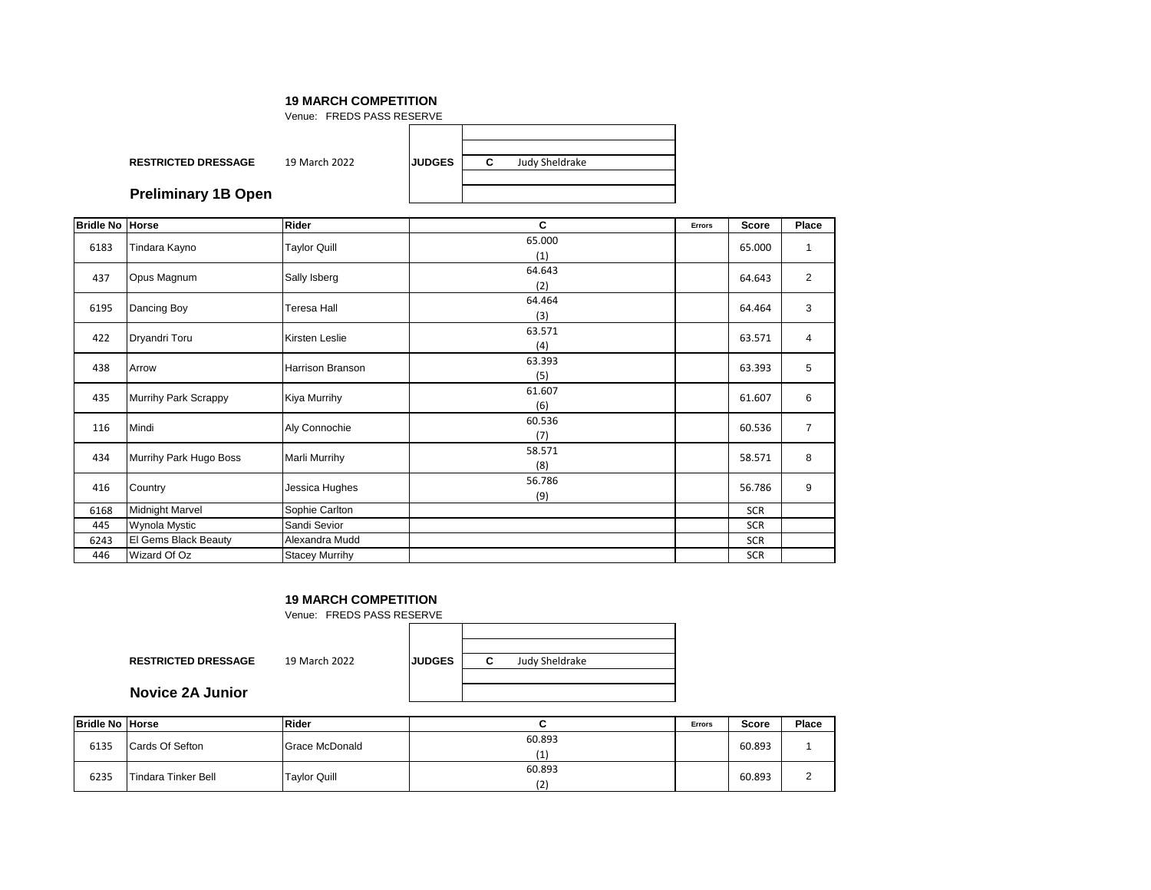| Venue: FREDS PASS RESERVE  |               |               |   |                       |  |  |
|----------------------------|---------------|---------------|---|-----------------------|--|--|
|                            |               |               |   |                       |  |  |
| <b>RESTRICTED DRESSAGE</b> | 19 March 2022 | <b>JUDGES</b> | C | <b>Judy Sheldrake</b> |  |  |
| <b>Preliminary 1B Open</b> |               |               |   |                       |  |  |

| <b>Bridle No Horse</b> |                        | Rider                   | C             | Errors | <b>Score</b> | Place          |
|------------------------|------------------------|-------------------------|---------------|--------|--------------|----------------|
| 6183                   | Tindara Kayno          | <b>Taylor Quill</b>     | 65.000<br>(1) |        | 65.000       |                |
| 437                    | Opus Magnum            | Sally Isberg            | 64.643<br>(2) |        | 64.643       | $\overline{2}$ |
| 6195                   | Dancing Boy            | <b>Teresa Hall</b>      | 64.464<br>(3) |        | 64.464       | 3              |
| 422                    | Dryandri Toru          | Kirsten Leslie          | 63.571<br>(4) |        | 63.571       | 4              |
| 438                    | Arrow                  | <b>Harrison Branson</b> | 63.393<br>(5) |        | 63.393       | 5              |
| 435                    | Murrihy Park Scrappy   | Kiya Murrihy            | 61.607<br>(6) |        | 61.607       | 6              |
| 116                    | Mindi                  | Aly Connochie           | 60.536<br>(7) |        | 60.536       | $\overline{7}$ |
| 434                    | Murrihy Park Hugo Boss | Marli Murrihy           | 58.571<br>(8) |        | 58.571       | 8              |
| 416                    | Country                | Jessica Hughes          | 56.786<br>(9) |        | 56.786       | 9              |
| 6168                   | <b>Midnight Marvel</b> | Sophie Carlton          |               |        | <b>SCR</b>   |                |
| 445                    | Wynola Mystic          | Sandi Sevior            |               |        | <b>SCR</b>   |                |
| 6243                   | El Gems Black Beauty   | Alexandra Mudd          |               |        | <b>SCR</b>   |                |
| 446                    | Wizard Of Oz           | <b>Stacey Murrihy</b>   |               |        | <b>SCR</b>   |                |

# **19 MARCH COMPETITION**

Venue: FREDS PASS RESERVE

**RESTRICTED DRESSAGE** 19 March 2022 **JUDGE** 

| c | Judy Sheldrake |  |
|---|----------------|--|
|   |                |  |
|   |                |  |

**Novice 2A Junior**

| <b>Bridle No Horse</b> |                             | Rider          |               | <b>Errors</b> | <b>Score</b> | <b>Place</b> |
|------------------------|-----------------------------|----------------|---------------|---------------|--------------|--------------|
| 6135                   | Cards Of Sefton             | Grace McDonald | 60.893        |               | 60.893       |              |
| 6235                   | <b>ITindara Tinker Bell</b> | Tavlor Quill   | 60.893<br>'2) |               | 60.893       |              |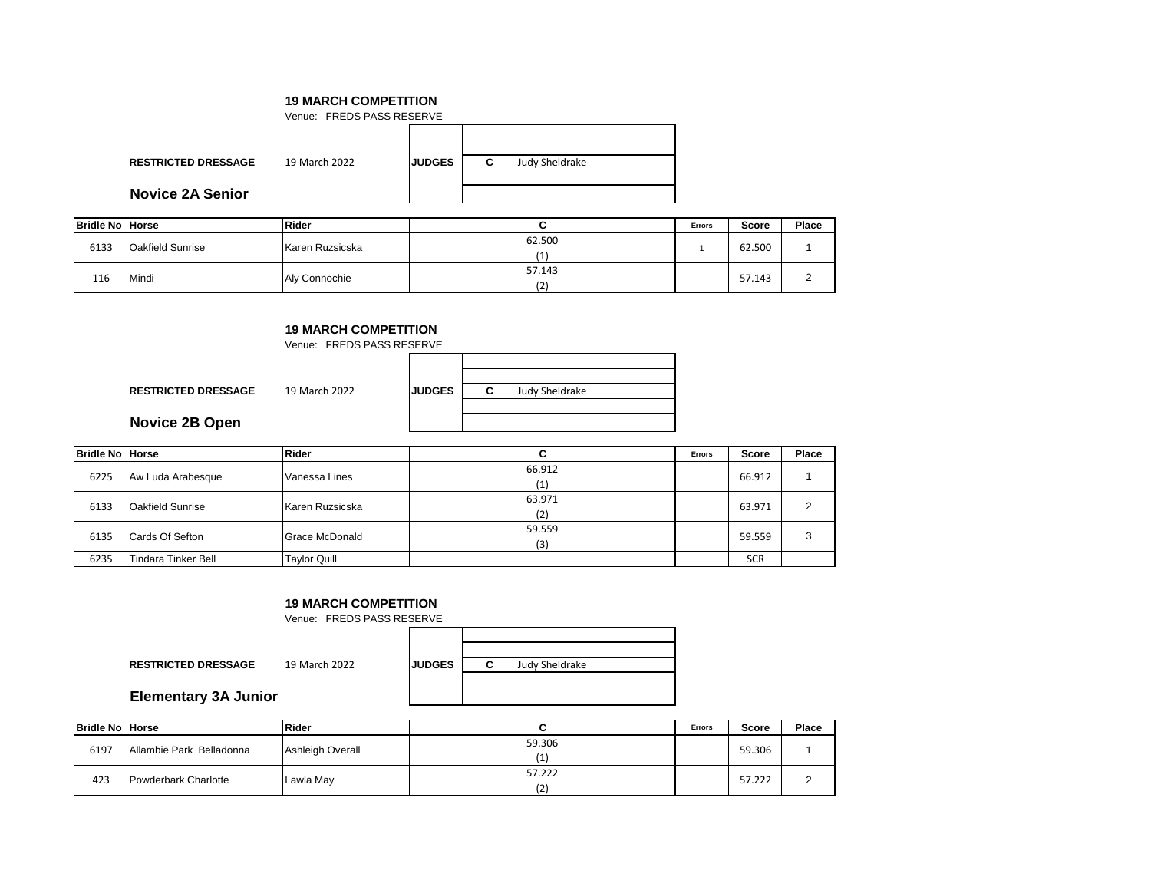|                            | Venue: FREDS PASS RESERVE |               |                     |  |  |  |  |
|----------------------------|---------------------------|---------------|---------------------|--|--|--|--|
|                            |                           |               |                     |  |  |  |  |
| <b>RESTRICTED DRESSAGE</b> | 19 March 2022             | <b>JUDGES</b> | Judy Sheldrake<br>C |  |  |  |  |
| <b>Novice 2A Senior</b>    |                           |               |                     |  |  |  |  |

| <b>Bridle No Horse</b> |                         | <b>Rider</b>    |               | <b>Errors</b> | Score  | <b>Place</b> |
|------------------------|-------------------------|-----------------|---------------|---------------|--------|--------------|
| 6133                   | <b>Oakfield Sunrise</b> | Karen Ruzsicska | 62.500<br>(1) |               | 62.500 |              |
| 116                    | Mindi                   | Aly Connochie   | 57.143<br>(2) |               | 57.143 |              |

#### **19 MARCH COMPETITION**

|                            | Venue: FREDS PASS RESERVE |               |                     |  |  |  |  |
|----------------------------|---------------------------|---------------|---------------------|--|--|--|--|
|                            |                           |               |                     |  |  |  |  |
| <b>RESTRICTED DRESSAGE</b> | 19 March 2022             | <b>JUDGES</b> | Judy Sheldrake<br>С |  |  |  |  |
| Novice 2B Open             |                           |               |                     |  |  |  |  |

| <b>Bridle No Horse</b> |                            | <b>Rider</b>          | ັ             | <b>Errors</b> | <b>Score</b> | Place |
|------------------------|----------------------------|-----------------------|---------------|---------------|--------------|-------|
| 6225                   | Aw Luda Arabesque          | Vanessa Lines         | 66.912<br>(1) |               | 66.912       |       |
| 6133                   | <b>Oakfield Sunrise</b>    | Karen Ruzsicska       | 63.971<br>(2) |               | 63.971       |       |
| 6135                   | Cards Of Sefton            | <b>Grace McDonald</b> | 59.559<br>(3) |               | 59.559       |       |
| 6235                   | <b>Tindara Tinker Bell</b> | <b>Taylor Quill</b>   |               |               | <b>SCR</b>   |       |

# **19 MARCH COMPETITION**

Venue: FREDS PASS RESERVE

**RESTRICTED DRESSAGE** 19 March 2022

| <b>UDGES</b> | c | Judy Sheldrake |  |
|--------------|---|----------------|--|
|              |   |                |  |
|              |   |                |  |

**Elementary 3A Junior**

| <b>Bridle No Horse</b> |                          | Rider                   |               | <b>Errors</b> | Score  | Place    |
|------------------------|--------------------------|-------------------------|---------------|---------------|--------|----------|
| 6197                   | Allambie Park Belladonna | <b>Ashleigh Overall</b> | 59.306        |               | 59.306 |          |
| 423                    | Powderbark Charlotte     | Lawla Mav               | 57.222<br>(2) |               | 57.222 | <u>.</u> |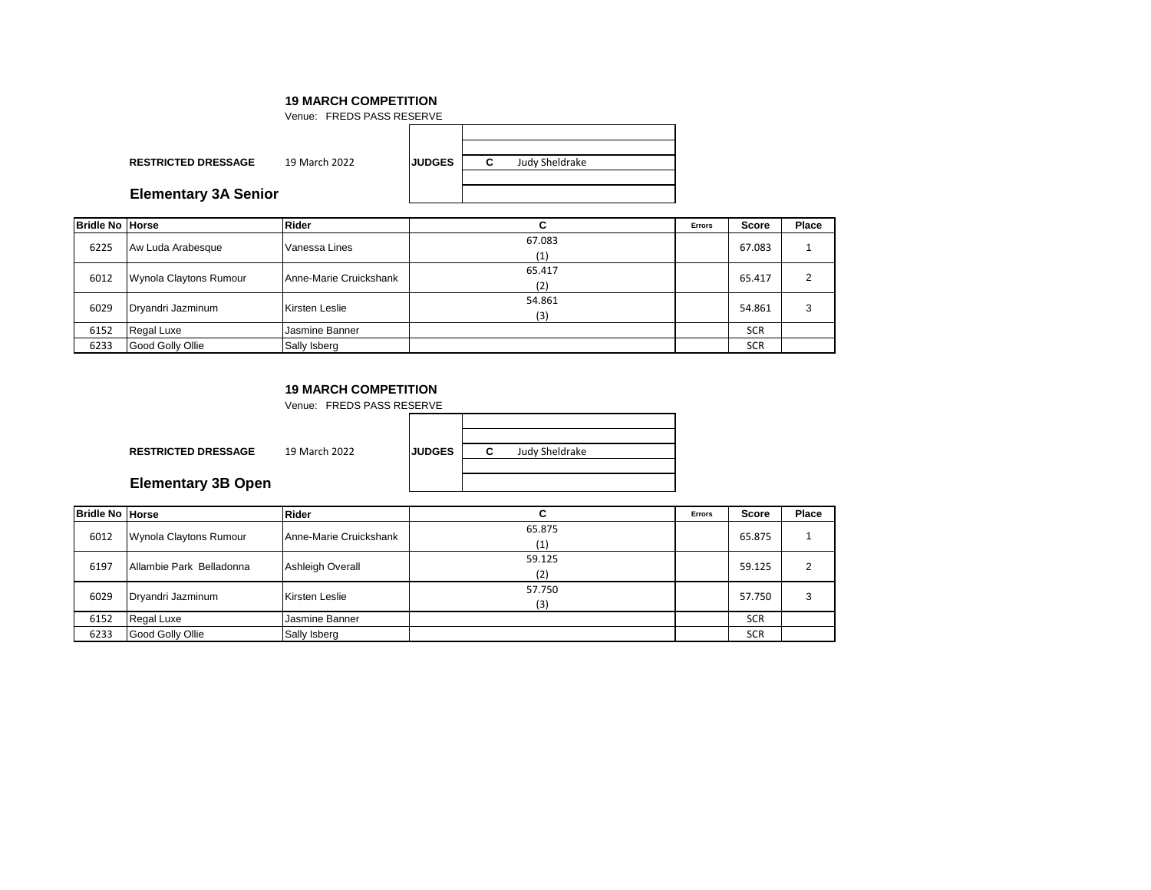|                             | Venue: FREDS PASS RESERVE |               |   |                |  |  |  |
|-----------------------------|---------------------------|---------------|---|----------------|--|--|--|
|                             |                           |               |   |                |  |  |  |
| <b>RESTRICTED DRESSAGE</b>  | 19 March 2022             | <b>JUDGES</b> | C | Judy Sheldrake |  |  |  |
| <b>Elementary 3A Senior</b> |                           |               |   |                |  |  |  |

| <b>Bridle No Horse</b> |                        | <b>Rider</b>           |               | Errors | <b>Score</b> | Place |
|------------------------|------------------------|------------------------|---------------|--------|--------------|-------|
| 6225                   | Aw Luda Arabesque      | Vanessa Lines          | 67.083<br>(1) |        | 67.083       |       |
| 6012                   | Wynola Claytons Rumour | Anne-Marie Cruickshank | 65.417<br>(2) |        | 65.417       |       |
| 6029                   | Dryandri Jazminum      | Kirsten Leslie         | 54.861<br>(3) |        | 54.861       |       |
| 6152                   | <b>Regal Luxe</b>      | Jasmine Banner         |               |        | <b>SCR</b>   |       |
| 6233                   | Good Golly Ollie       | Sally Isberg           |               |        | <b>SCR</b>   |       |

## **19 MARCH COMPETITION**

Venue: FREDS PASS RESERVE

**RESTRICTED DRESSAGE** 19 March 2022 **JUDGES C**

Judy Sheldrake

**Elementary 3B Open**

| <b>Bridle No Horse</b> |                          | <b>Rider</b>           |               | Errors | Score      | Place |
|------------------------|--------------------------|------------------------|---------------|--------|------------|-------|
| 6012                   | Wynola Claytons Rumour   | Anne-Marie Cruickshank | 65.875<br>(1) |        | 65.875     |       |
| 6197                   | Allambie Park Belladonna | Ashleigh Overall       | 59.125<br>(2) |        | 59.125     | 2     |
| 6029                   | Dryandri Jazminum        | Kirsten Leslie         | 57.750<br>(3) |        | 57.750     | 3     |
| 6152                   | Regal Luxe               | Jasmine Banner         |               |        | <b>SCR</b> |       |
| 6233                   | Good Golly Ollie         | Sally Isberg           |               |        | <b>SCR</b> |       |